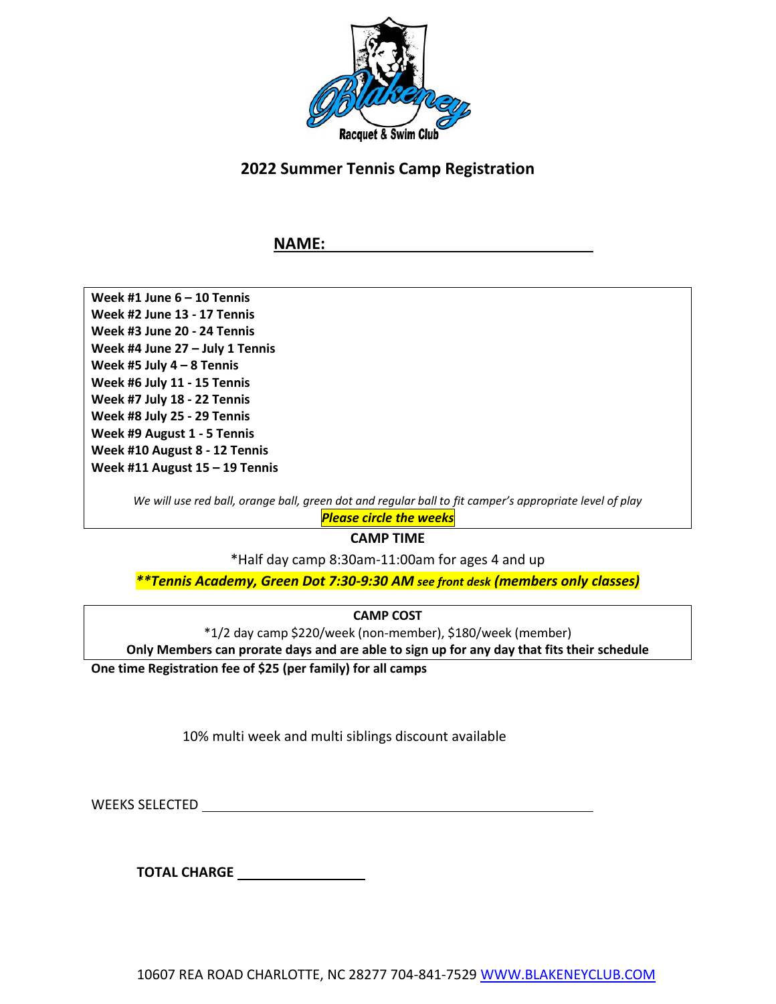

## **2022 Summer Tennis Camp Registration**

### **NAME:**

**Week #1 June 6 – 10 Tennis Week #2 June 13 - 17 Tennis Week #3 June 20 - 24 Tennis Week #4 June 27 – July 1 Tennis Week #5 July 4 – 8 Tennis Week #6 July 11 - 15 Tennis Week #7 July 18 - 22 Tennis Week #8 July 25 - 29 Tennis Week #9 August 1 - 5 Tennis Week #10 August 8 - 12 Tennis Week #11 August 15 – 19 Tennis**

We will use red ball, orange ball, green dot and regular ball to fit camper's appropriate level of play

*Please circle the weeks*

**CAMP TIME**

\*Half day camp 8:30am-11:00am for ages 4 and up

*\*\*Tennis Academy, Green Dot 7:30-9:30 AM see front desk (members only classes)*

**CAMP COST**

\*1/2 day camp \$220/week (non-member), \$180/week (member)

**Only Members can prorate days and are able to sign up for any day that fits their schedule**

**One time Registration fee of \$25 (per family) for all camps**

10% multi week and multi siblings discount available

WEEKS SELECTED

**TOTAL CHARGE**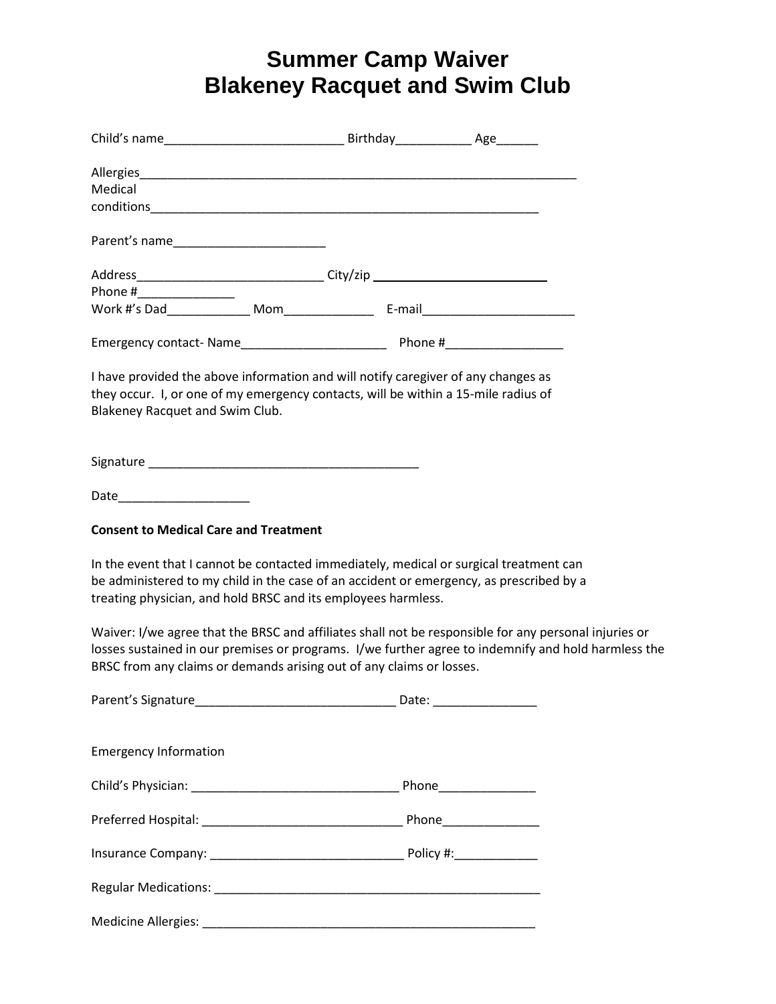# **Summer Camp Waiver Blakeney Racquet and Swim Club**

| Medical                                                                                                                                                                                                                                                                              |  |  |
|--------------------------------------------------------------------------------------------------------------------------------------------------------------------------------------------------------------------------------------------------------------------------------------|--|--|
|                                                                                                                                                                                                                                                                                      |  |  |
|                                                                                                                                                                                                                                                                                      |  |  |
|                                                                                                                                                                                                                                                                                      |  |  |
| Phone #__________________                                                                                                                                                                                                                                                            |  |  |
|                                                                                                                                                                                                                                                                                      |  |  |
|                                                                                                                                                                                                                                                                                      |  |  |
| I have provided the above information and will notify caregiver of any changes as<br>they occur. I, or one of my emergency contacts, will be within a 15-mile radius of<br>Blakeney Racquet and Swim Club.                                                                           |  |  |
|                                                                                                                                                                                                                                                                                      |  |  |
| Date_________________________                                                                                                                                                                                                                                                        |  |  |
| <b>Consent to Medical Care and Treatment</b>                                                                                                                                                                                                                                         |  |  |
| In the event that I cannot be contacted immediately, medical or surgical treatment can<br>be administered to my child in the case of an accident or emergency, as prescribed by a<br>treating physician, and hold BRSC and its employees harmless.                                   |  |  |
| Waiver: I/we agree that the BRSC and affiliates shall not be responsible for any personal injuries or<br>losses sustained in our premises or programs. I/we further agree to indemnify and hold harmless the<br>BRSC from any claims or demands arising out of any claims or losses. |  |  |
|                                                                                                                                                                                                                                                                                      |  |  |
| <b>Emergency Information</b>                                                                                                                                                                                                                                                         |  |  |
|                                                                                                                                                                                                                                                                                      |  |  |
|                                                                                                                                                                                                                                                                                      |  |  |
|                                                                                                                                                                                                                                                                                      |  |  |
|                                                                                                                                                                                                                                                                                      |  |  |
|                                                                                                                                                                                                                                                                                      |  |  |